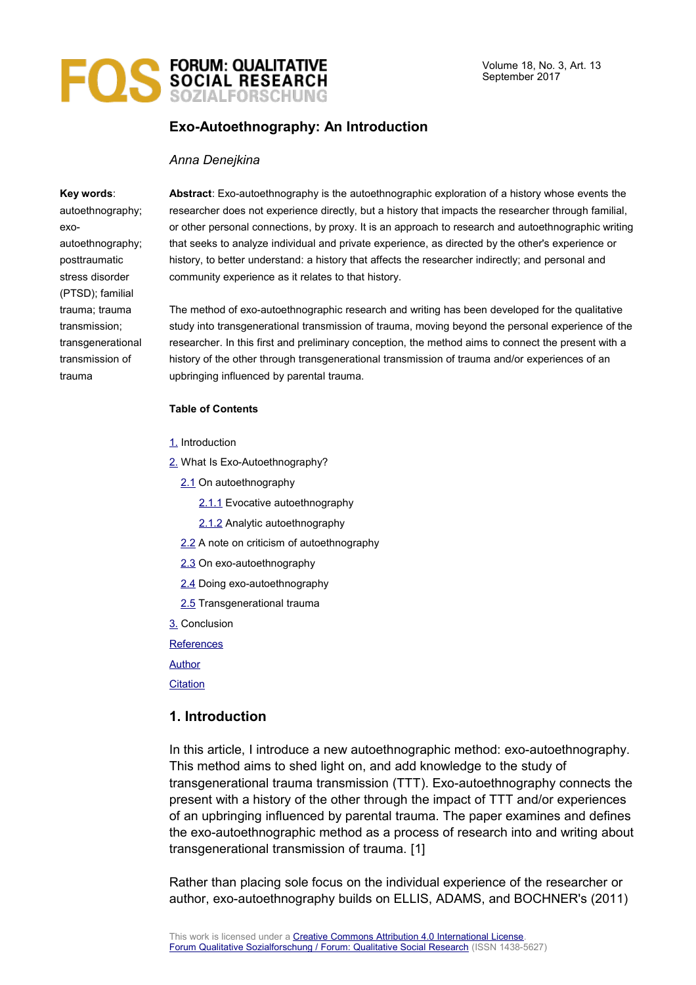

# **Exo-Autoethnography: An Introduction**

#### *Anna Denejkina*

#### **Key words**:

autoethnography; exoautoethnography; posttraumatic stress disorder (PTSD); familial trauma; trauma transmission; transgenerational transmission of trauma

**Abstract**: Exo-autoethnography is the autoethnographic exploration of a history whose events the researcher does not experience directly, but a history that impacts the researcher through familial, or other personal connections, by proxy. It is an approach to research and autoethnographic writing that seeks to analyze individual and private experience, as directed by the other's experience or history, to better understand: a history that affects the researcher indirectly; and personal and community experience as it relates to that history.

The method of exo-autoethnographic research and writing has been developed for the qualitative study into transgenerational transmission of trauma, moving beyond the personal experience of the researcher. In this first and preliminary conception, the method aims to connect the present with a history of the other through transgenerational transmission of trauma and/or experiences of an upbringing influenced by parental trauma.

#### **Table of Contents**

- [1.](#page-0-0) Introduction
- [2.](#page-1-1) What Is Exo-Autoethnography?
	- [2.1](#page-1-0) On autoethnography
		- [2.1.1](#page-2-0) Evocative autoethnography
		- [2.1.2](#page-3-0) Analytic autoethnography
	- [2.2](#page-4-0) A note on criticism of autoethnography
	- [2.3](#page-5-0) On exo-autoethnography
	- [2.4](#page-7-0) Doing exo-autoethnography
	- [2.5](#page-8-0) Transgenerational trauma
- [3.](#page-9-0) Conclusion

**[References](#page-10-0)** 

#### [Author](#page-11-1)

**[Citation](#page-11-0)** 

## <span id="page-0-0"></span>**1. Introduction**

In this article, I introduce a new autoethnographic method: exo-autoethnography. This method aims to shed light on, and add knowledge to the study of transgenerational trauma transmission (TTT). Exo-autoethnography connects the present with a history of the other through the impact of TTT and/or experiences of an upbringing influenced by parental trauma. The paper examines and defines the exo-autoethnographic method as a process of research into and writing about transgenerational transmission of trauma. [1]

Rather than placing sole focus on the individual experience of the researcher or author, exo-autoethnography builds on ELLIS, ADAMS, and BOCHNER's (2011)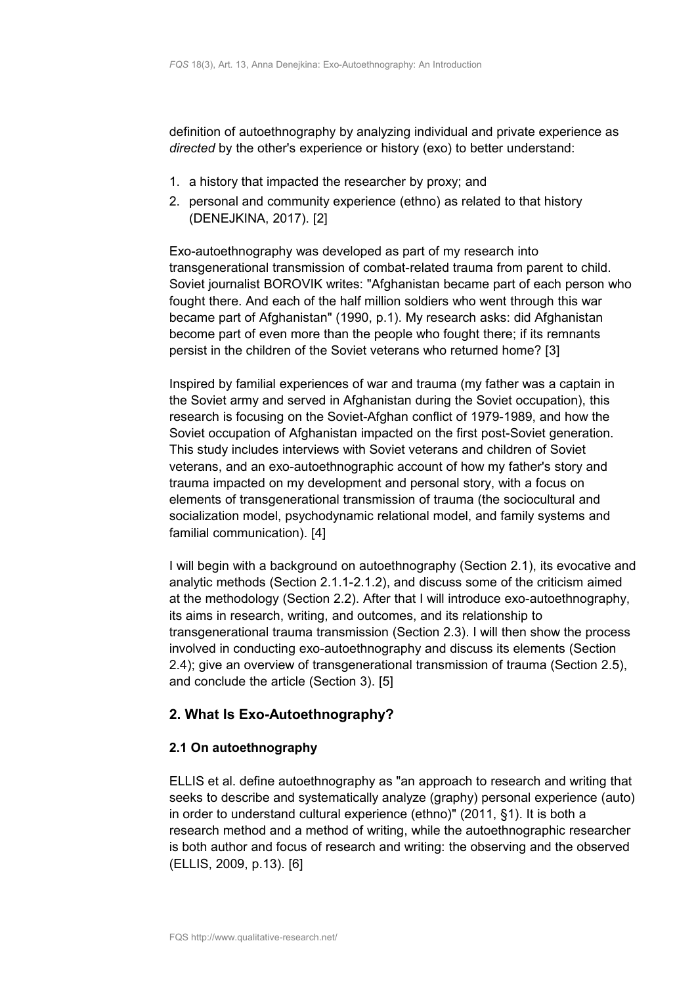definition of autoethnography by analyzing individual and private experience as *directed* by the other's experience or history (exo) to better understand:

- 1. a history that impacted the researcher by proxy; and
- 2. personal and community experience (ethno) as related to that history (DENEJKINA, 2017). [2]

Exo-autoethnography was developed as part of my research into transgenerational transmission of combat-related trauma from parent to child. Soviet journalist BOROVIK writes: "Afghanistan became part of each person who fought there. And each of the half million soldiers who went through this war became part of Afghanistan" (1990, p.1). My research asks: did Afghanistan become part of even more than the people who fought there; if its remnants persist in the children of the Soviet veterans who returned home? [3]

Inspired by familial experiences of war and trauma (my father was a captain in the Soviet army and served in Afghanistan during the Soviet occupation), this research is focusing on the Soviet-Afghan conflict of 1979-1989, and how the Soviet occupation of Afghanistan impacted on the first post-Soviet generation. This study includes interviews with Soviet veterans and children of Soviet veterans, and an exo-autoethnographic account of how my father's story and trauma impacted on my development and personal story, with a focus on elements of transgenerational transmission of trauma (the sociocultural and socialization model, psychodynamic relational model, and family systems and familial communication). [4]

I will begin with a background on autoethnography (Section 2.1), its evocative and analytic methods (Section 2.1.1-2.1.2), and discuss some of the criticism aimed at the methodology (Section 2.2). After that I will introduce exo-autoethnography, its aims in research, writing, and outcomes, and its relationship to transgenerational trauma transmission (Section 2.3). I will then show the process involved in conducting exo-autoethnography and discuss its elements (Section 2.4); give an overview of transgenerational transmission of trauma (Section 2.5), and conclude the article (Section 3). [5]

# <span id="page-1-1"></span>**2. What Is Exo-Autoethnography?**

# <span id="page-1-0"></span>**2.1 On autoethnography**

ELLIS et al. define autoethnography as "an approach to research and writing that seeks to describe and systematically analyze (graphy) personal experience (auto) in order to understand cultural experience (ethno)" (2011, §1). It is both a research method and a method of writing, while the autoethnographic researcher is both author and focus of research and writing: the observing and the observed (ELLIS, 2009, p.13). [6]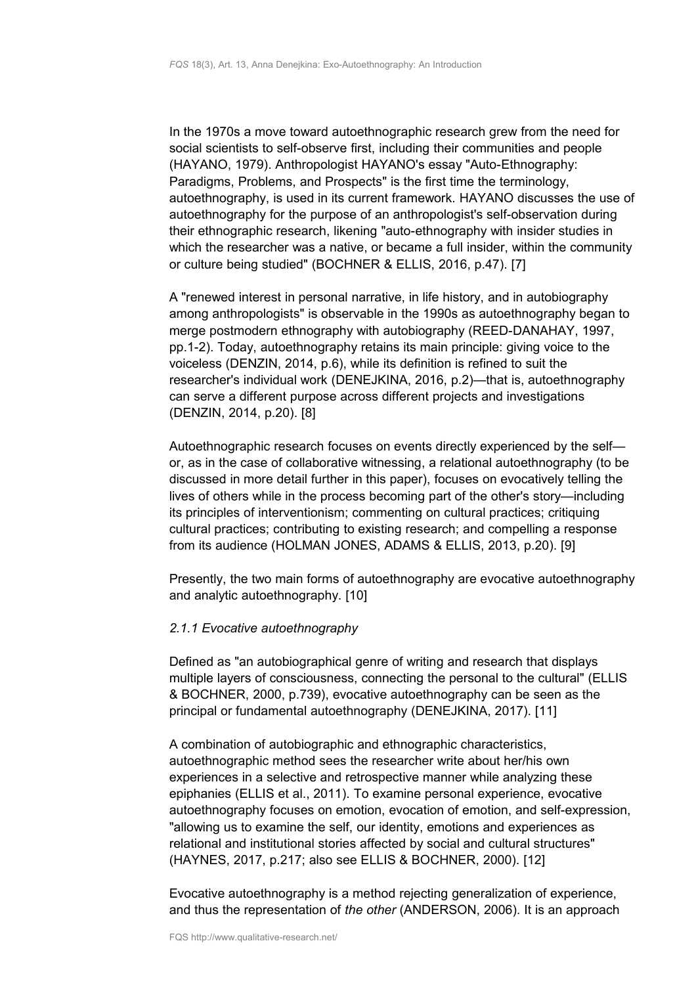In the 1970s a move toward autoethnographic research grew from the need for social scientists to self-observe first, including their communities and people (HAYANO, 1979). Anthropologist HAYANO's essay "Auto-Ethnography: Paradigms, Problems, and Prospects" is the first time the terminology, autoethnography, is used in its current framework. HAYANO discusses the use of autoethnography for the purpose of an anthropologist's self-observation during their ethnographic research, likening "auto-ethnography with insider studies in which the researcher was a native, or became a full insider, within the community or culture being studied" (BOCHNER & ELLIS, 2016, p.47). [7]

A "renewed interest in personal narrative, in life history, and in autobiography among anthropologists" is observable in the 1990s as autoethnography began to merge postmodern ethnography with autobiography (REED-DANAHAY, 1997, pp.1-2). Today, autoethnography retains its main principle: giving voice to the voiceless (DENZIN, 2014, p.6), while its definition is refined to suit the researcher's individual work (DENEJKINA, 2016, p.2)—that is, autoethnography can serve a different purpose across different projects and investigations (DENZIN, 2014, p.20). [8]

Autoethnographic research focuses on events directly experienced by the self or, as in the case of collaborative witnessing, a relational autoethnography (to be discussed in more detail further in this paper), focuses on evocatively telling the lives of others while in the process becoming part of the other's story—including its principles of interventionism; commenting on cultural practices; critiquing cultural practices; contributing to existing research; and compelling a response from its audience (HOLMAN JONES, ADAMS & ELLIS, 2013, p.20). [9]

Presently, the two main forms of autoethnography are evocative autoethnography and analytic autoethnography. [10]

## <span id="page-2-0"></span>*2.1.1 Evocative autoethnography*

Defined as "an autobiographical genre of writing and research that displays multiple layers of consciousness, connecting the personal to the cultural" (ELLIS & BOCHNER, 2000, p.739), evocative autoethnography can be seen as the principal or fundamental autoethnography (DENEJKINA, 2017). [11]

A combination of autobiographic and ethnographic characteristics, autoethnographic method sees the researcher write about her/his own experiences in a selective and retrospective manner while analyzing these epiphanies (ELLIS et al., 2011). To examine personal experience, evocative autoethnography focuses on emotion, evocation of emotion, and self-expression, "allowing us to examine the self, our identity, emotions and experiences as relational and institutional stories affected by social and cultural structures" (HAYNES, 2017, p.217; also see ELLIS & BOCHNER, 2000). [12]

Evocative autoethnography is a method rejecting generalization of experience, and thus the representation of *the other* (ANDERSON, 2006)*.* It is an approach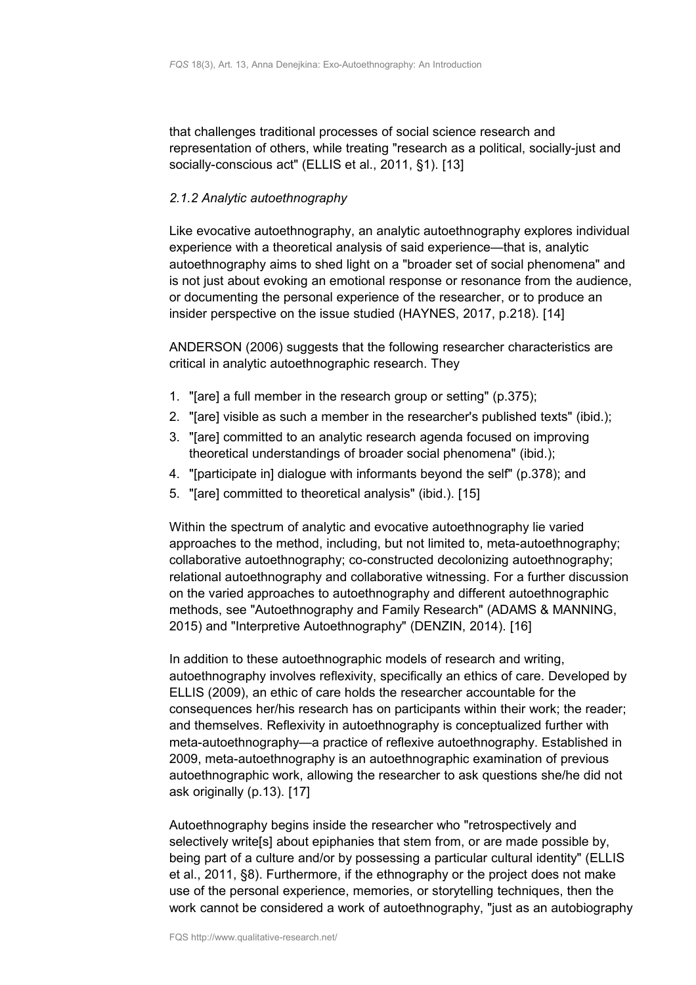that challenges traditional processes of social science research and representation of others, while treating "research as a political, socially-just and socially-conscious act" (ELLIS et al., 2011, §1). [13]

## <span id="page-3-0"></span>*2.1.2 Analytic autoethnography*

Like evocative autoethnography, an analytic autoethnography explores individual experience with a theoretical analysis of said experience—that is, analytic autoethnography aims to shed light on a "broader set of social phenomena" and is not just about evoking an emotional response or resonance from the audience, or documenting the personal experience of the researcher, or to produce an insider perspective on the issue studied (HAYNES, 2017, p.218). [14]

ANDERSON (2006) suggests that the following researcher characteristics are critical in analytic autoethnographic research. They

- 1. "[are] a full member in the research group or setting" (p.375);
- 2. "[are] visible as such a member in the researcher's published texts" (ibid.);
- 3. "[are] committed to an analytic research agenda focused on improving theoretical understandings of broader social phenomena" (ibid.);
- 4. "[participate in] dialogue with informants beyond the self" (p.378); and
- 5. "[are] committed to theoretical analysis" (ibid.). [15]

Within the spectrum of analytic and evocative autoethnography lie varied approaches to the method, including, but not limited to, meta-autoethnography; collaborative autoethnography; co-constructed decolonizing autoethnography; relational autoethnography and collaborative witnessing. For a further discussion on the varied approaches to autoethnography and different autoethnographic methods, see "Autoethnography and Family Research" (ADAMS & MANNING, 2015) and "Interpretive Autoethnography" (DENZIN, 2014). [16]

In addition to these autoethnographic models of research and writing, autoethnography involves reflexivity, specifically an ethics of care. Developed by ELLIS (2009), an ethic of care holds the researcher accountable for the consequences her/his research has on participants within their work; the reader; and themselves. Reflexivity in autoethnography is conceptualized further with meta-autoethnography—a practice of reflexive autoethnography. Established in 2009, meta-autoethnography is an autoethnographic examination of previous autoethnographic work, allowing the researcher to ask questions she/he did not ask originally (p.13). [17]

Autoethnography begins inside the researcher who "retrospectively and selectively write[s] about epiphanies that stem from, or are made possible by, being part of a culture and/or by possessing a particular cultural identity" (ELLIS et al., 2011, §8). Furthermore, if the ethnography or the project does not make use of the personal experience, memories, or storytelling techniques, then the work cannot be considered a work of autoethnography, "just as an autobiography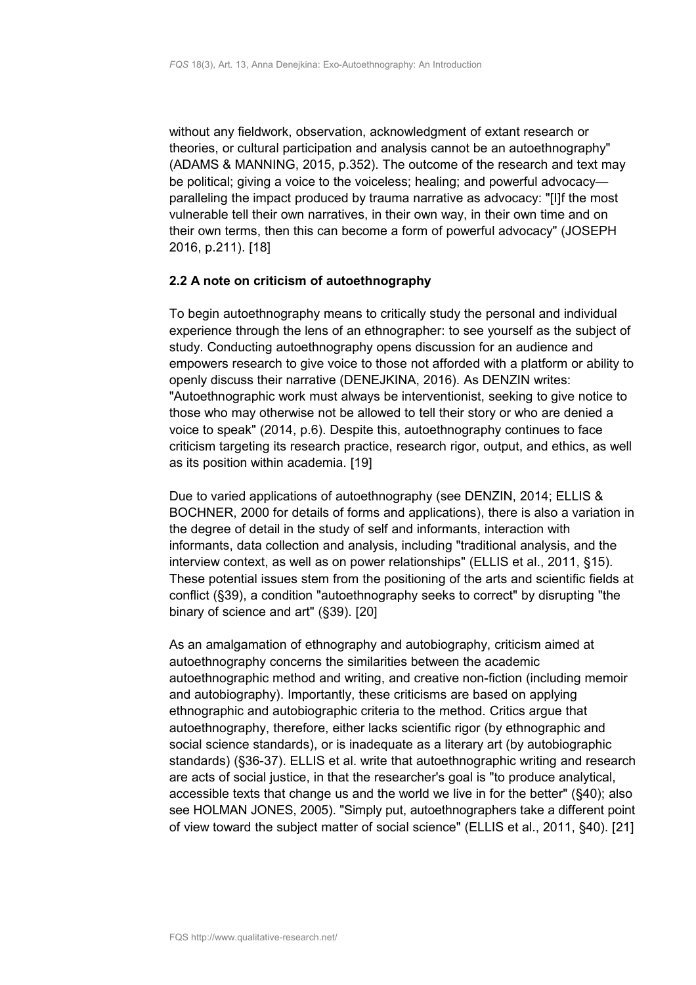without any fieldwork, observation, acknowledgment of extant research or theories, or cultural participation and analysis cannot be an autoethnography" (ADAMS & MANNING, 2015, p.352). The outcome of the research and text may be political; giving a voice to the voiceless; healing; and powerful advocacy paralleling the impact produced by trauma narrative as advocacy: "[I]f the most vulnerable tell their own narratives, in their own way, in their own time and on their own terms, then this can become a form of powerful advocacy" (JOSEPH 2016, p.211). [18]

## <span id="page-4-0"></span>**2.2 A note on criticism of autoethnography**

To begin autoethnography means to critically study the personal and individual experience through the lens of an ethnographer: to see yourself as the subject of study. Conducting autoethnography opens discussion for an audience and empowers research to give voice to those not afforded with a platform or ability to openly discuss their narrative (DENEJKINA, 2016). As DENZIN writes: "Autoethnographic work must always be interventionist, seeking to give notice to those who may otherwise not be allowed to tell their story or who are denied a voice to speak" (2014, p.6). Despite this, autoethnography continues to face criticism targeting its research practice, research rigor, output, and ethics, as well as its position within academia. [19]

Due to varied applications of autoethnography (see DENZIN, 2014; ELLIS & BOCHNER, 2000 for details of forms and applications), there is also a variation in the degree of detail in the study of self and informants, interaction with informants, data collection and analysis, including "traditional analysis, and the interview context, as well as on power relationships" (ELLIS et al., 2011, §15). These potential issues stem from the positioning of the arts and scientific fields at conflict (§39), a condition "autoethnography seeks to correct" by disrupting "the binary of science and art" (§39). [20]

As an amalgamation of ethnography and autobiography, criticism aimed at autoethnography concerns the similarities between the academic autoethnographic method and writing, and creative non-fiction (including memoir and autobiography). Importantly, these criticisms are based on applying ethnographic and autobiographic criteria to the method. Critics argue that autoethnography, therefore, either lacks scientific rigor (by ethnographic and social science standards), or is inadequate as a literary art (by autobiographic standards) (§36-37). ELLIS et al. write that autoethnographic writing and research are acts of social justice, in that the researcher's goal is "to produce analytical, accessible texts that change us and the world we live in for the better" (§40); also see HOLMAN JONES, 2005). "Simply put, autoethnographers take a different point of view toward the subject matter of social science" (ELLIS et al., 2011, §40). [21]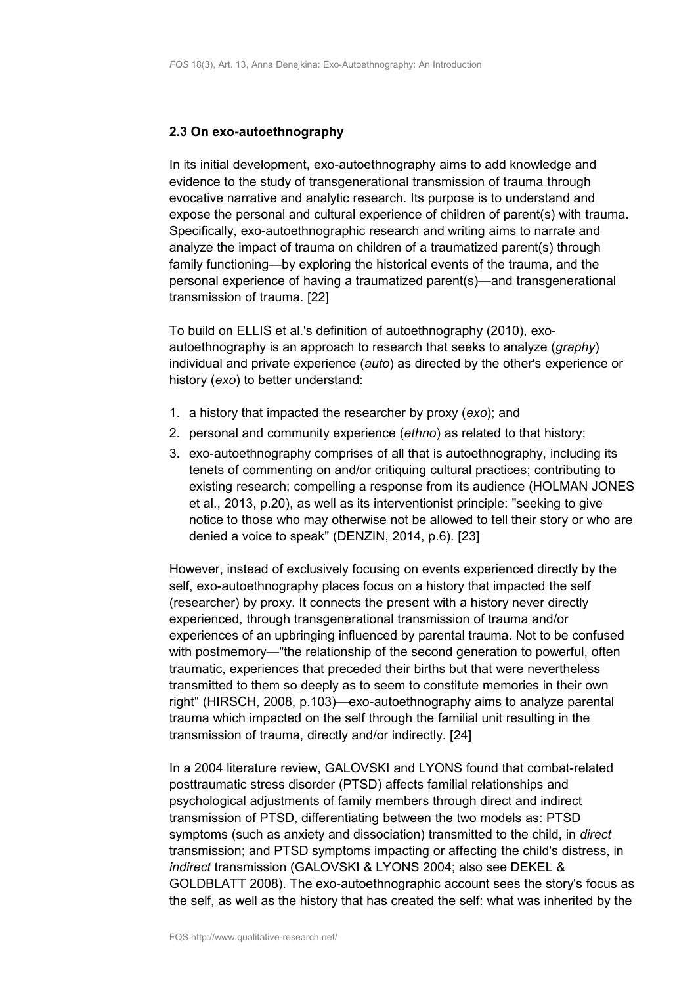#### <span id="page-5-0"></span>**2.3 On exo-autoethnography**

In its initial development, exo-autoethnography aims to add knowledge and evidence to the study of transgenerational transmission of trauma through evocative narrative and analytic research. Its purpose is to understand and expose the personal and cultural experience of children of parent(s) with trauma. Specifically, exo-autoethnographic research and writing aims to narrate and analyze the impact of trauma on children of a traumatized parent(s) through family functioning—by exploring the historical events of the trauma, and the personal experience of having a traumatized parent(s)—and transgenerational transmission of trauma. [22]

To build on ELLIS et al.'s definition of autoethnography (2010), exoautoethnography is an approach to research that seeks to analyze (*graphy*) individual and private experience (*auto*) as directed by the other's experience or history (*exo*) to better understand:

- 1. a history that impacted the researcher by proxy (*exo*); and
- 2. personal and community experience (*ethno*) as related to that history;
- 3. exo-autoethnography comprises of all that is autoethnography, including its tenets of commenting on and/or critiquing cultural practices; contributing to existing research; compelling a response from its audience (HOLMAN JONES et al., 2013, p.20), as well as its interventionist principle: "seeking to give notice to those who may otherwise not be allowed to tell their story or who are denied a voice to speak" (DENZIN, 2014, p.6). [23]

However, instead of exclusively focusing on events experienced directly by the self, exo-autoethnography places focus on a history that impacted the self (researcher) by proxy. It connects the present with a history never directly experienced, through transgenerational transmission of trauma and/or experiences of an upbringing influenced by parental trauma. Not to be confused with postmemory—"the relationship of the second generation to powerful, often traumatic, experiences that preceded their births but that were nevertheless transmitted to them so deeply as to seem to constitute memories in their own right" (HIRSCH, 2008, p.103)—exo-autoethnography aims to analyze parental trauma which impacted on the self through the familial unit resulting in the transmission of trauma, directly and/or indirectly. [24]

In a 2004 literature review, GALOVSKI and LYONS found that combat-related posttraumatic stress disorder (PTSD) affects familial relationships and psychological adjustments of family members through direct and indirect transmission of PTSD, differentiating between the two models as: PTSD symptoms (such as anxiety and dissociation) transmitted to the child, in *direct* transmission; and PTSD symptoms impacting or affecting the child's distress, in *indirect* transmission (GALOVSKI & LYONS 2004; also see DEKEL & GOLDBLATT 2008). The exo-autoethnographic account sees the story's focus as the self, as well as the history that has created the self: what was inherited by the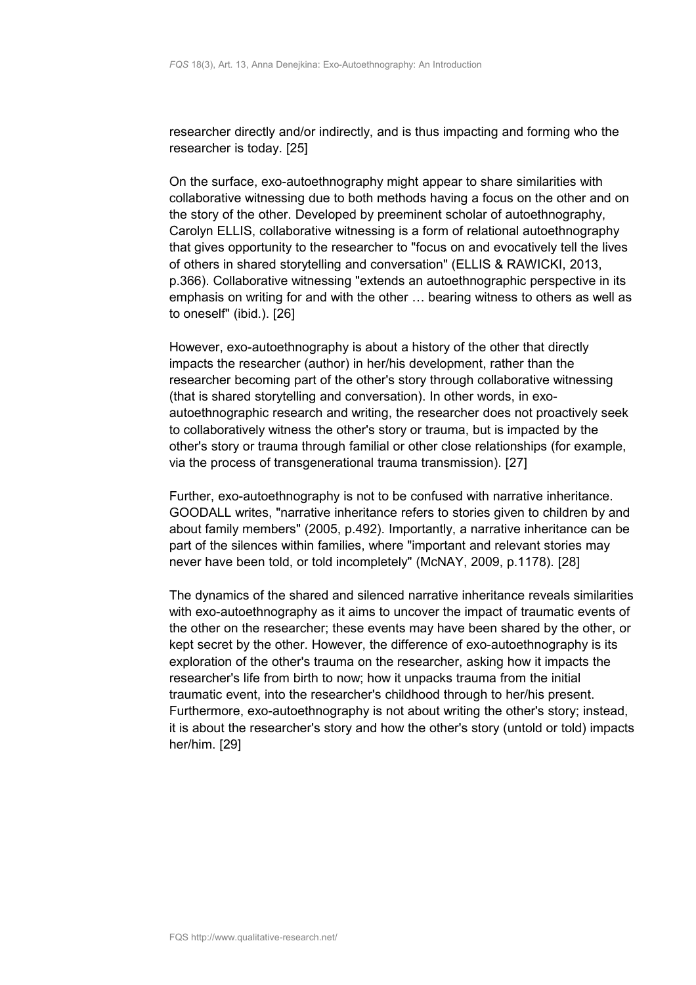researcher directly and/or indirectly, and is thus impacting and forming who the researcher is today. [25]

On the surface, exo-autoethnography might appear to share similarities with collaborative witnessing due to both methods having a focus on the other and on the story of the other. Developed by preeminent scholar of autoethnography, Carolyn ELLIS, collaborative witnessing is a form of relational autoethnography that gives opportunity to the researcher to "focus on and evocatively tell the lives of others in shared storytelling and conversation" (ELLIS & RAWICKI, 2013, p.366). Collaborative witnessing "extends an autoethnographic perspective in its emphasis on writing for and with the other … bearing witness to others as well as to oneself" (ibid.). [26]

However, exo-autoethnography is about a history of the other that directly impacts the researcher (author) in her/his development, rather than the researcher becoming part of the other's story through collaborative witnessing (that is shared storytelling and conversation). In other words, in exoautoethnographic research and writing, the researcher does not proactively seek to collaboratively witness the other's story or trauma, but is impacted by the other's story or trauma through familial or other close relationships (for example, via the process of transgenerational trauma transmission). [27]

Further, exo-autoethnography is not to be confused with narrative inheritance. GOODALL writes, "narrative inheritance refers to stories given to children by and about family members" (2005, p.492). Importantly, a narrative inheritance can be part of the silences within families, where "important and relevant stories may never have been told, or told incompletely" (McNAY, 2009, p.1178). [28]

The dynamics of the shared and silenced narrative inheritance reveals similarities with exo-autoethnography as it aims to uncover the impact of traumatic events of the other on the researcher; these events may have been shared by the other, or kept secret by the other. However, the difference of exo-autoethnography is its exploration of the other's trauma on the researcher, asking how it impacts the researcher's life from birth to now; how it unpacks trauma from the initial traumatic event, into the researcher's childhood through to her/his present. Furthermore, exo-autoethnography is not about writing the other's story; instead, it is about the researcher's story and how the other's story (untold or told) impacts her/him. [29]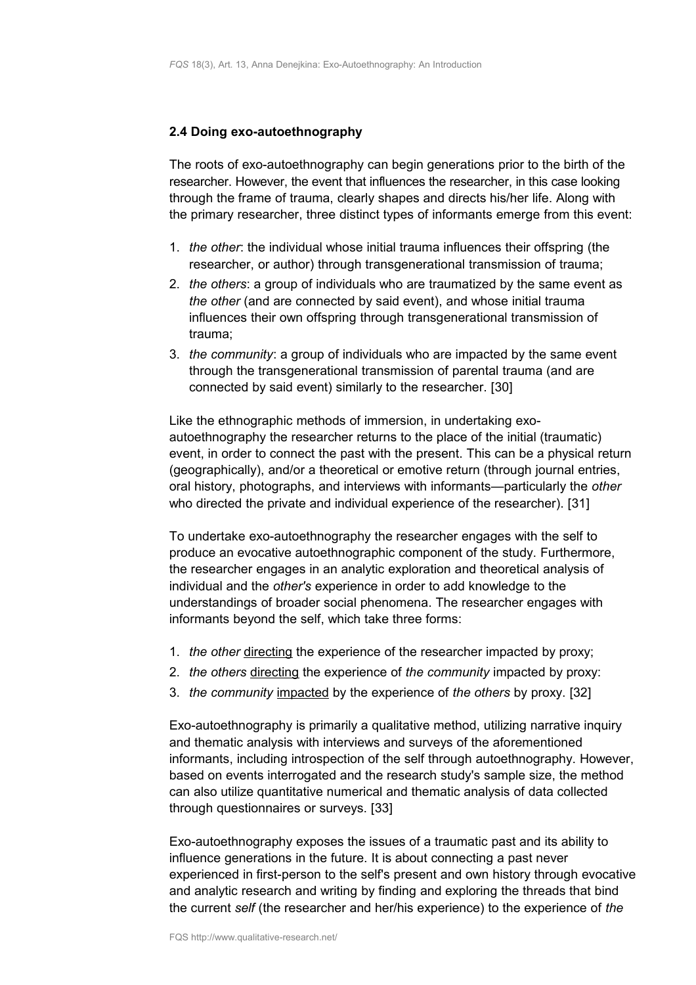## <span id="page-7-0"></span>**2.4 Doing exo-autoethnography**

The roots of exo-autoethnography can begin generations prior to the birth of the researcher. However, the event that influences the researcher, in this case looking through the frame of trauma, clearly shapes and directs his/her life. Along with the primary researcher, three distinct types of informants emerge from this event:

- 1. *the other*: the individual whose initial trauma influences their offspring (the researcher, or author) through transgenerational transmission of trauma;
- 2. *the others*: a group of individuals who are traumatized by the same event as *the other* (and are connected by said event), and whose initial trauma influences their own offspring through transgenerational transmission of trauma;
- 3. *the community*: a group of individuals who are impacted by the same event through the transgenerational transmission of parental trauma (and are connected by said event) similarly to the researcher. [30]

Like the ethnographic methods of immersion, in undertaking exoautoethnography the researcher returns to the place of the initial (traumatic) event, in order to connect the past with the present. This can be a physical return (geographically), and/or a theoretical or emotive return (through journal entries, oral history, photographs, and interviews with informants—particularly the *other* who directed the private and individual experience of the researcher). [31]

To undertake exo-autoethnography the researcher engages with the self to produce an evocative autoethnographic component of the study. Furthermore, the researcher engages in an analytic exploration and theoretical analysis of individual and the *other's* experience in order to add knowledge to the understandings of broader social phenomena. The researcher engages with informants beyond the self, which take three forms:

- 1. *the other* directing the experience of the researcher impacted by proxy;
- 2. *the others* directing the experience of *the community* impacted by proxy:
- 3. *the community* impacted by the experience of *the others* by proxy. [32]

Exo-autoethnography is primarily a qualitative method, utilizing narrative inquiry and thematic analysis with interviews and surveys of the aforementioned informants, including introspection of the self through autoethnography. However, based on events interrogated and the research study's sample size, the method can also utilize quantitative numerical and thematic analysis of data collected through questionnaires or surveys. [33]

Exo-autoethnography exposes the issues of a traumatic past and its ability to influence generations in the future. It is about connecting a past never experienced in first-person to the self's present and own history through evocative and analytic research and writing by finding and exploring the threads that bind the current *self* (the researcher and her/his experience) to the experience of *the*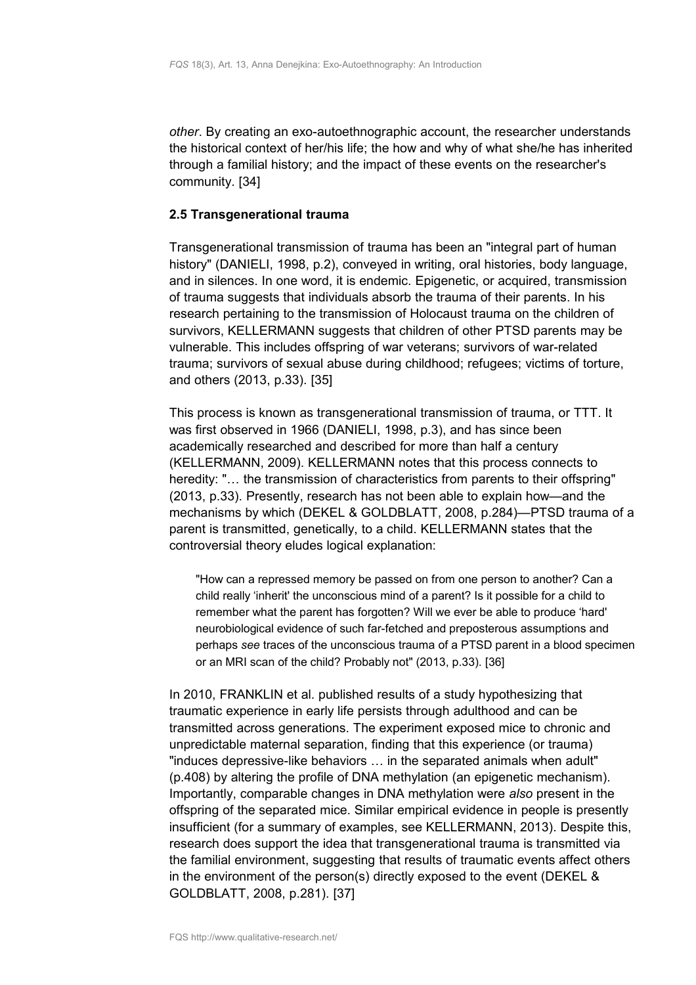*other*. By creating an exo-autoethnographic account, the researcher understands the historical context of her/his life; the how and why of what she/he has inherited through a familial history; and the impact of these events on the researcher's community. [34]

## <span id="page-8-0"></span>**2.5 Transgenerational trauma**

Transgenerational transmission of trauma has been an "integral part of human history" (DANIELI, 1998, p.2), conveyed in writing, oral histories, body language, and in silences. In one word, it is endemic. Epigenetic, or acquired, transmission of trauma suggests that individuals absorb the trauma of their parents. In his research pertaining to the transmission of Holocaust trauma on the children of survivors, KELLERMANN suggests that children of other PTSD parents may be vulnerable. This includes offspring of war veterans; survivors of war-related trauma; survivors of sexual abuse during childhood; refugees; victims of torture, and others (2013, p.33). [35]

This process is known as transgenerational transmission of trauma, or TTT. It was first observed in 1966 (DANIELI, 1998, p.3), and has since been academically researched and described for more than half a century (KELLERMANN, 2009). KELLERMANN notes that this process connects to heredity: "... the transmission of characteristics from parents to their offspring" (2013, p.33). Presently, research has not been able to explain how—and the mechanisms by which (DEKEL & GOLDBLATT, 2008, p.284)—PTSD trauma of a parent is transmitted, genetically, to a child. KELLERMANN states that the controversial theory eludes logical explanation:

"How can a repressed memory be passed on from one person to another? Can a child really 'inherit' the unconscious mind of a parent? Is it possible for a child to remember what the parent has forgotten? Will we ever be able to produce 'hard' neurobiological evidence of such far-fetched and preposterous assumptions and perhaps *see* traces of the unconscious trauma of a PTSD parent in a blood specimen or an MRI scan of the child? Probably not" (2013, p.33). [36]

In 2010, FRANKLIN et al. published results of a study hypothesizing that traumatic experience in early life persists through adulthood and can be transmitted across generations. The experiment exposed mice to chronic and unpredictable maternal separation, finding that this experience (or trauma) "induces depressive-like behaviors … in the separated animals when adult" (p.408) by altering the profile of DNA methylation (an epigenetic mechanism). Importantly, comparable changes in DNA methylation were *also* present in the offspring of the separated mice. Similar empirical evidence in people is presently insufficient (for a summary of examples, see KELLERMANN, 2013). Despite this, research does support the idea that transgenerational trauma is transmitted via the familial environment, suggesting that results of traumatic events affect others in the environment of the person(s) directly exposed to the event (DEKEL & GOLDBLATT, 2008, p.281). [37]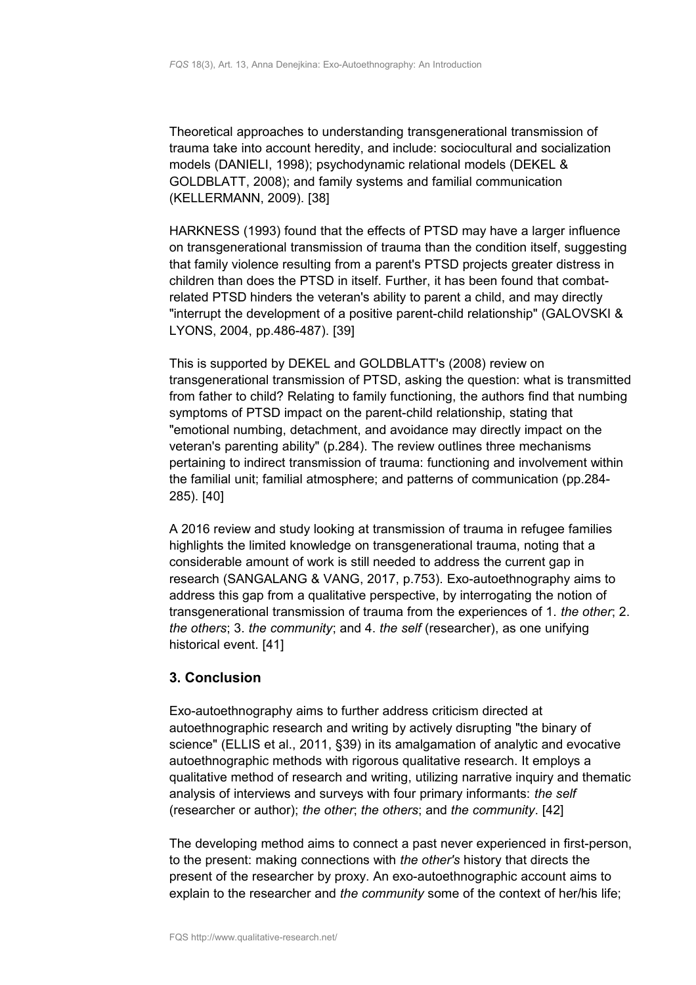Theoretical approaches to understanding transgenerational transmission of trauma take into account heredity, and include: sociocultural and socialization models (DANIELI, 1998); psychodynamic relational models (DEKEL & GOLDBLATT, 2008); and family systems and familial communication (KELLERMANN, 2009). [38]

HARKNESS (1993) found that the effects of PTSD may have a larger influence on transgenerational transmission of trauma than the condition itself, suggesting that family violence resulting from a parent's PTSD projects greater distress in children than does the PTSD in itself. Further, it has been found that combatrelated PTSD hinders the veteran's ability to parent a child, and may directly "interrupt the development of a positive parent-child relationship" (GALOVSKI & LYONS, 2004, pp.486-487). [39]

This is supported by DEKEL and GOLDBLATT's (2008) review on transgenerational transmission of PTSD, asking the question: what is transmitted from father to child? Relating to family functioning, the authors find that numbing symptoms of PTSD impact on the parent-child relationship, stating that "emotional numbing, detachment, and avoidance may directly impact on the veteran's parenting ability" (p.284). The review outlines three mechanisms pertaining to indirect transmission of trauma: functioning and involvement within the familial unit; familial atmosphere; and patterns of communication (pp.284- 285). [40]

A 2016 review and study looking at transmission of trauma in refugee families highlights the limited knowledge on transgenerational trauma, noting that a considerable amount of work is still needed to address the current gap in research (SANGALANG & VANG, 2017, p.753). Exo-autoethnography aims to address this gap from a qualitative perspective, by interrogating the notion of transgenerational transmission of trauma from the experiences of 1. *the other*; 2. *the others*; 3. *the community*; and 4. *the self* (researcher), as one unifying historical event. [41]

# <span id="page-9-0"></span>**3. Conclusion**

Exo-autoethnography aims to further address criticism directed at autoethnographic research and writing by actively disrupting "the binary of science" (ELLIS et al., 2011, §39) in its amalgamation of analytic and evocative autoethnographic methods with rigorous qualitative research. It employs a qualitative method of research and writing, utilizing narrative inquiry and thematic analysis of interviews and surveys with four primary informants: *the self* (researcher or author); *the other*; *the others*; and *the community*. [42]

The developing method aims to connect a past never experienced in first-person, to the present: making connections with *the other's* history that directs the present of the researcher by proxy. An exo-autoethnographic account aims to explain to the researcher and *the community* some of the context of her/his life;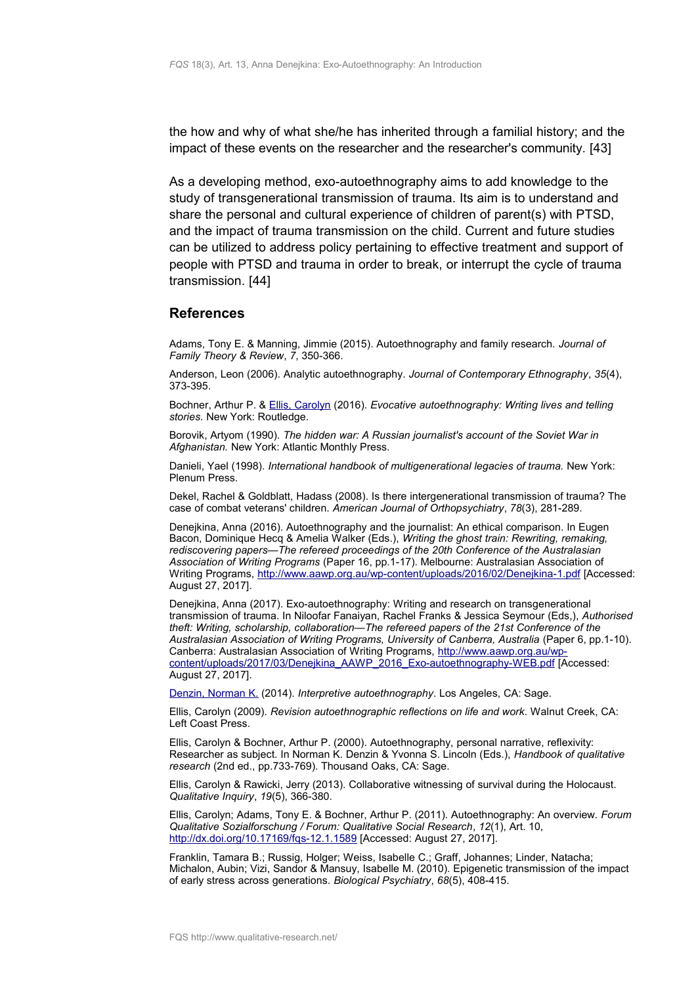the how and why of what she/he has inherited through a familial history; and the impact of these events on the researcher and the researcher's community. [43]

As a developing method, exo-autoethnography aims to add knowledge to the study of transgenerational transmission of trauma. Its aim is to understand and share the personal and cultural experience of children of parent(s) with PTSD, and the impact of trauma transmission on the child. Current and future studies can be utilized to address policy pertaining to effective treatment and support of people with PTSD and trauma in order to break, or interrupt the cycle of trauma transmission. [44]

## <span id="page-10-0"></span>**References**

Adams, Tony E. & Manning, Jimmie (2015). Autoethnography and family research. *Journal of Family Theory & Review*, *7*, 350-366.

Anderson, Leon (2006). Analytic autoethnography. *Journal of Contemporary Ethnography*, *35*(4), 373-395.

Bochner, Arthur P. & [Ellis, Carolyn](http://www.qualitative-research.net/index.php/fqs/about/displayMembership/2) (2016). *Evocative autoethnography: Writing lives and telling stories.* New York: Routledge.

Borovik, Artyom (1990). *The hidden war: A Russian journalist's account of the Soviet War in Afghanistan.* New York: Atlantic Monthly Press.

Danieli, Yael (1998). *International handbook of multigenerational legacies of trauma.* New York: Plenum Press.

Dekel, Rachel & Goldblatt, Hadass (2008). Is there intergenerational transmission of trauma? The case of combat veterans' children. *American Journal of Orthopsychiatry*, *78*(3), 281-289.

Denejkina, Anna (2016). Autoethnography and the journalist: An ethical comparison. In Eugen Bacon, Dominique Hecq & Amelia Walker (Eds.), *Writing the ghost train: Rewriting, remaking, rediscovering papers—The refereed proceedings of the 20th Conference of the Australasian Association of Writing Programs* (Paper 16, pp.1-17). Melbourne: Australasian Association of Writing Programs,<http://www.aawp.org.au/wp-content/uploads/2016/02/Denejkina-1.pdf>[Accessed: August 27, 2017].

Denejkina, Anna (2017). Exo-autoethnography: Writing and research on transgenerational transmission of trauma. In Niloofar Fanaiyan, Rachel Franks & Jessica Seymour (Eds,), *Authorised theft: Writing, scholarship, collaboration—The refereed papers of the 21st Conference of the Australasian Association of Writing Programs, University of Canberra, Australia* (Paper 6, pp.1-10). Canberra: Australasian Association of Writing Programs, [http://www.aawp.org.au/wp](http://www.aawp.org.au/wp-content/uploads/2017/03/Denejkina_AAWP_2016_Exo-autoethnography-WEB.pdf)[content/uploads/2017/03/Denejkina\\_AAWP\\_2016\\_Exo-autoethnography-WEB.pdf](http://www.aawp.org.au/wp-content/uploads/2017/03/Denejkina_AAWP_2016_Exo-autoethnography-WEB.pdf) [Accessed: August 27, 2017].

[Denzin, Norman K.](http://www.qualitative-research.net/index.php/fqs/about/displayMembership/2) (2014). *Interpretive autoethnography*. Los Angeles, CA: Sage.

Ellis, Carolyn (2009). *Revision autoethnographic reflections on life and work*. Walnut Creek, CA: Left Coast Press.

Ellis, Carolyn & Bochner, Arthur P. (2000). Autoethnography, personal narrative, reflexivity: Researcher as subject. In Norman K. Denzin & Yvonna S. Lincoln (Eds.), *Handbook of qualitative research* (2nd ed., pp.733-769). Thousand Oaks, CA: Sage.

Ellis, Carolyn & Rawicki, Jerry (2013). Collaborative witnessing of survival during the Holocaust. *Qualitative Inquiry*, *19*(5), 366-380.

Ellis, Carolyn; Adams, Tony E. & Bochner, Arthur P. (2011). Autoethnography: An overview. *Forum Qualitative Sozialforschung / Forum: Qualitative Social Research*, *12*(1), Art. 10, <http://dx.doi.org/10.17169/fqs-12.1.1589>[Accessed: August 27, 2017].

Franklin, Tamara B.; Russig, Holger; Weiss, Isabelle C.; Graff, Johannes; Linder, Natacha; Michalon, Aubin; Vizi, Sandor & Mansuy, Isabelle M. (2010). Epigenetic transmission of the impact of early stress across generations. *Biological Psychiatry*, *68*(5), 408-415.